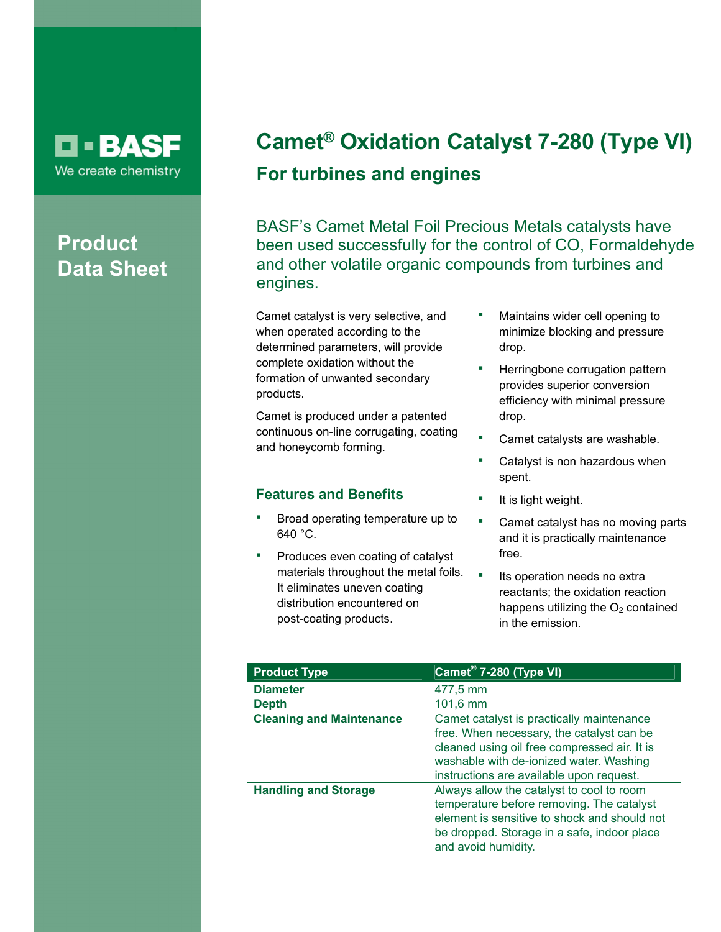

## **Product Data Sheet**

# **Camet® Oxidation Catalyst 7-280 (Type VI) For turbines and engines**

BASF's Camet Metal Foil Precious Metals catalysts have been used successfully for the control of CO, Formaldehyde and other volatile organic compounds from turbines and engines.

Camet catalyst is very selective, and when operated according to the determined parameters, will provide complete oxidation without the formation of unwanted secondary products.

Camet is produced under a patented continuous on-line corrugating, coating and honeycomb forming.

### **Features and Benefits**

- Broad operating temperature up to 640 °C.
- Produces even coating of catalyst materials throughout the metal foils. It eliminates uneven coating distribution encountered on post-coating products.
- Maintains wider cell opening to minimize blocking and pressure drop.
- Herringbone corrugation pattern provides superior conversion efficiency with minimal pressure drop.
- Camet catalysts are washable.
- Catalyst is non hazardous when spent.
- It is light weight.
- **•** Camet catalyst has no moving parts and it is practically maintenance free.
- **Its operation needs no extral** reactants; the oxidation reaction happens utilizing the  $O<sub>2</sub>$  contained in the emission.

| <b>Product Type</b>             | Camet <sup>®</sup> 7-280 (Type VI)                                                                                                                                                                                            |
|---------------------------------|-------------------------------------------------------------------------------------------------------------------------------------------------------------------------------------------------------------------------------|
| <b>Diameter</b>                 | 477,5 mm                                                                                                                                                                                                                      |
| <b>Depth</b>                    | $101,6 \, \text{mm}$                                                                                                                                                                                                          |
| <b>Cleaning and Maintenance</b> | Camet catalyst is practically maintenance<br>free. When necessary, the catalyst can be<br>cleaned using oil free compressed air. It is<br>washable with de-ionized water. Washing<br>instructions are available upon request. |
| <b>Handling and Storage</b>     | Always allow the catalyst to cool to room<br>temperature before removing. The catalyst<br>element is sensitive to shock and should not<br>be dropped. Storage in a safe, indoor place<br>and avoid humidity.                  |